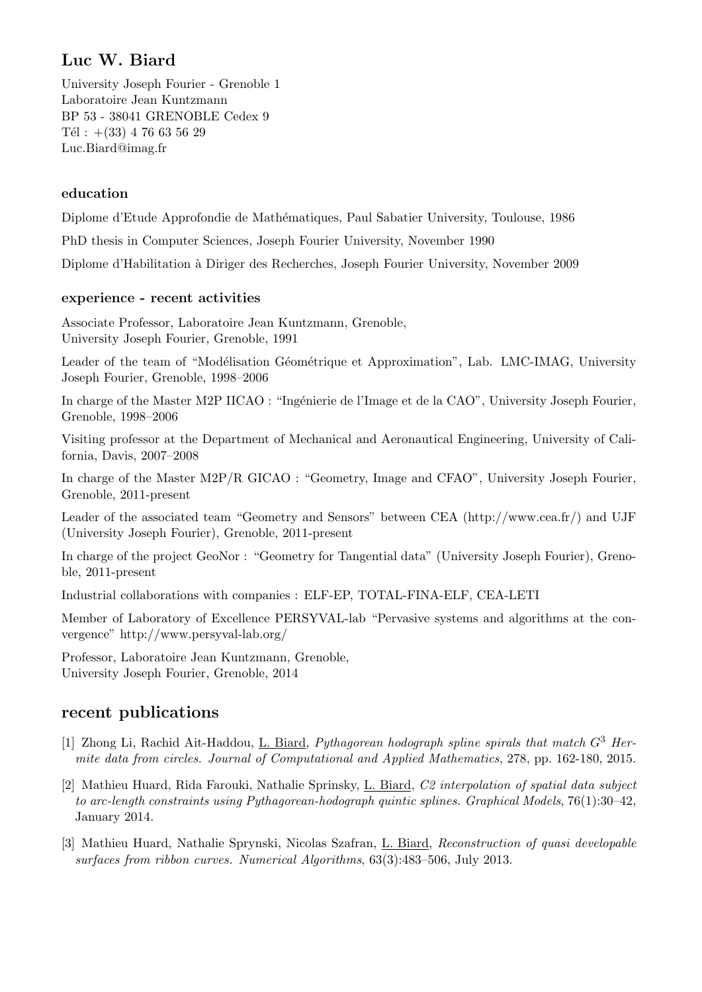## Luc W. Biard

University Joseph Fourier - Grenoble 1 Laboratoire Jean Kuntzmann BP 53 - 38041 GRENOBLE Cedex 9 Tél :  $+(33)$  4 76 63 56 29 Luc.Biard@imag.fr

## education

Diplome d'Etude Approfondie de Mathématiques, Paul Sabatier University, Toulouse, 1986

PhD thesis in Computer Sciences, Joseph Fourier University, November 1990

Diplome d'Habilitation `a Diriger des Recherches, Joseph Fourier University, November 2009

## experience - recent activities

Associate Professor, Laboratoire Jean Kuntzmann, Grenoble, University Joseph Fourier, Grenoble, 1991

Leader of the team of "Modélisation Géométrique et Approximation", Lab. LMC-IMAG, University Joseph Fourier, Grenoble, 1998–2006

In charge of the Master M2P IICAO : "Ingénierie de l'Image et de la CAO", University Joseph Fourier, Grenoble, 1998–2006

Visiting professor at the Department of Mechanical and Aeronautical Engineering, University of California, Davis, 2007–2008

In charge of the Master M2P/R GICAO : "Geometry, Image and CFAO", University Joseph Fourier, Grenoble, 2011-present

Leader of the associated team "Geometry and Sensors" between CEA (http://www.cea.fr/) and UJF (University Joseph Fourier), Grenoble, 2011-present

In charge of the project GeoNor : "Geometry for Tangential data" (University Joseph Fourier), Grenoble, 2011-present

Industrial collaborations with companies : ELF-EP, TOTAL-FINA-ELF, CEA-LETI

Member of Laboratory of Excellence PERSYVAL-lab "Pervasive systems and algorithms at the convergence" http://www.persyval-lab.org/

Professor, Laboratoire Jean Kuntzmann, Grenoble, University Joseph Fourier, Grenoble, 2014

## recent publications

- [1] Zhong Li, Rachid Ait-Haddou, L. Biard, Pythagorean hodograph spline spirals that match  $G^3$  Hermite data from circles. Journal of Computational and Applied Mathematics, 278, pp. 162-180, 2015.
- [2] Mathieu Huard, Rida Farouki, Nathalie Sprinsky, L. Biard, C2 interpolation of spatial data subject to arc-length constraints using Pythagorean-hodograph quintic splines. Graphical Models, 76(1):30–42, January 2014.
- [3] Mathieu Huard, Nathalie Sprynski, Nicolas Szafran, L. Biard, Reconstruction of quasi developable surfaces from ribbon curves. Numerical Algorithms, 63(3):483–506, July 2013.